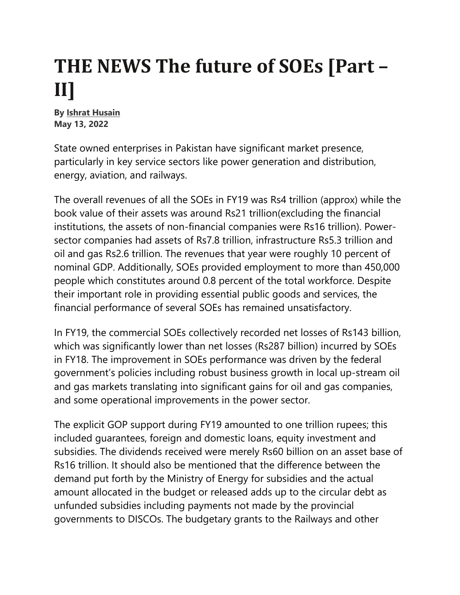## **THE NEWS The future of SOEs [Part – II]**

**By Ishrat Husain May 13, 2022** 

State owned enterprises in Pakistan have significant market presence, particularly in key service sectors like power generation and distribution, energy, aviation, and railways.

The overall revenues of all the SOEs in FY19 was Rs4 trillion (approx) while the book value of their assets was around Rs21 trillion(excluding the financial institutions, the assets of non-financial companies were Rs16 trillion). Powersector companies had assets of Rs7.8 trillion, infrastructure Rs5.3 trillion and oil and gas Rs2.6 trillion. The revenues that year were roughly 10 percent of nominal GDP. Additionally, SOEs provided employment to more than 450,000 people which constitutes around 0.8 percent of the total workforce. Despite their important role in providing essential public goods and services, the financial performance of several SOEs has remained unsatisfactory.

In FY19, the commercial SOEs collectively recorded net losses of Rs143 billion, which was significantly lower than net losses (Rs287 billion) incurred by SOEs in FY18. The improvement in SOEs performance was driven by the federal government's policies including robust business growth in local up-stream oil and gas markets translating into significant gains for oil and gas companies, and some operational improvements in the power sector.

The explicit GOP support during FY19 amounted to one trillion rupees; this included guarantees, foreign and domestic loans, equity investment and subsidies. The dividends received were merely Rs60 billion on an asset base of Rs16 trillion. It should also be mentioned that the difference between the demand put forth by the Ministry of Energy for subsidies and the actual amount allocated in the budget or released adds up to the circular debt as unfunded subsidies including payments not made by the provincial governments to DISCOs. The budgetary grants to the Railways and other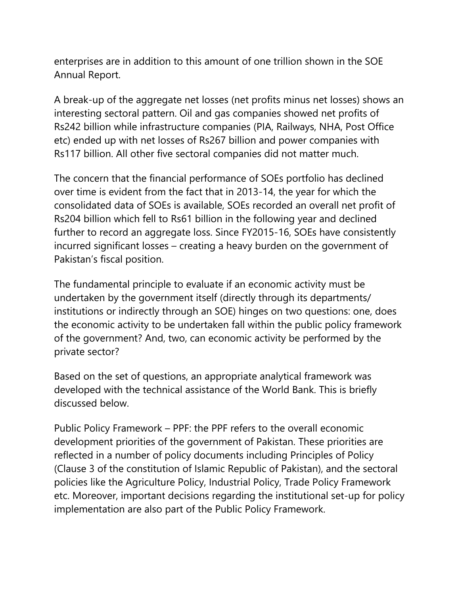enterprises are in addition to this amount of one trillion shown in the SOE Annual Report.

A break-up of the aggregate net losses (net profits minus net losses) shows an interesting sectoral pattern. Oil and gas companies showed net profits of Rs242 billion while infrastructure companies (PIA, Railways, NHA, Post Office etc) ended up with net losses of Rs267 billion and power companies with Rs117 billion. All other five sectoral companies did not matter much.

The concern that the financial performance of SOEs portfolio has declined over time is evident from the fact that in 2013-14, the year for which the consolidated data of SOEs is available, SOEs recorded an overall net profit of Rs204 billion which fell to Rs61 billion in the following year and declined further to record an aggregate loss. Since FY2015-16, SOEs have consistently incurred significant losses – creating a heavy burden on the government of Pakistan's fiscal position.

The fundamental principle to evaluate if an economic activity must be undertaken by the government itself (directly through its departments/ institutions or indirectly through an SOE) hinges on two questions: one, does the economic activity to be undertaken fall within the public policy framework of the government? And, two, can economic activity be performed by the private sector?

Based on the set of questions, an appropriate analytical framework was developed with the technical assistance of the World Bank. This is briefly discussed below.

Public Policy Framework – PPF: the PPF refers to the overall economic development priorities of the government of Pakistan. These priorities are reflected in a number of policy documents including Principles of Policy (Clause 3 of the constitution of Islamic Republic of Pakistan), and the sectoral policies like the Agriculture Policy, Industrial Policy, Trade Policy Framework etc. Moreover, important decisions regarding the institutional set-up for policy implementation are also part of the Public Policy Framework.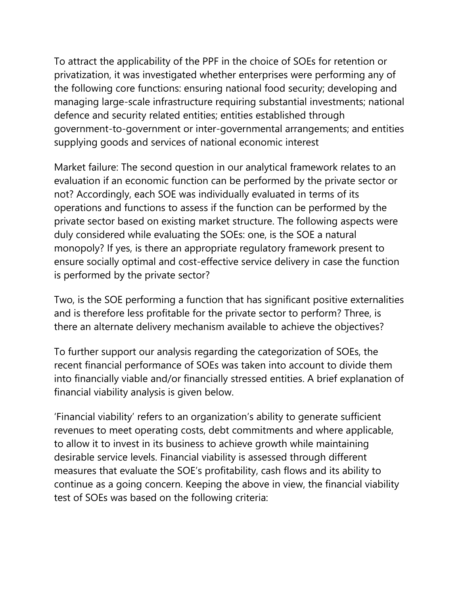To attract the applicability of the PPF in the choice of SOEs for retention or privatization, it was investigated whether enterprises were performing any of the following core functions: ensuring national food security; developing and managing large-scale infrastructure requiring substantial investments; national defence and security related entities; entities established through government-to-government or inter-governmental arrangements; and entities supplying goods and services of national economic interest

Market failure: The second question in our analytical framework relates to an evaluation if an economic function can be performed by the private sector or not? Accordingly, each SOE was individually evaluated in terms of its operations and functions to assess if the function can be performed by the private sector based on existing market structure. The following aspects were duly considered while evaluating the SOEs: one, is the SOE a natural monopoly? If yes, is there an appropriate regulatory framework present to ensure socially optimal and cost-effective service delivery in case the function is performed by the private sector?

Two, is the SOE performing a function that has significant positive externalities and is therefore less profitable for the private sector to perform? Three, is there an alternate delivery mechanism available to achieve the objectives?

To further support our analysis regarding the categorization of SOEs, the recent financial performance of SOEs was taken into account to divide them into financially viable and/or financially stressed entities. A brief explanation of financial viability analysis is given below.

'Financial viability' refers to an organization's ability to generate sufficient revenues to meet operating costs, debt commitments and where applicable, to allow it to invest in its business to achieve growth while maintaining desirable service levels. Financial viability is assessed through different measures that evaluate the SOE's profitability, cash flows and its ability to continue as a going concern. Keeping the above in view, the financial viability test of SOEs was based on the following criteria: